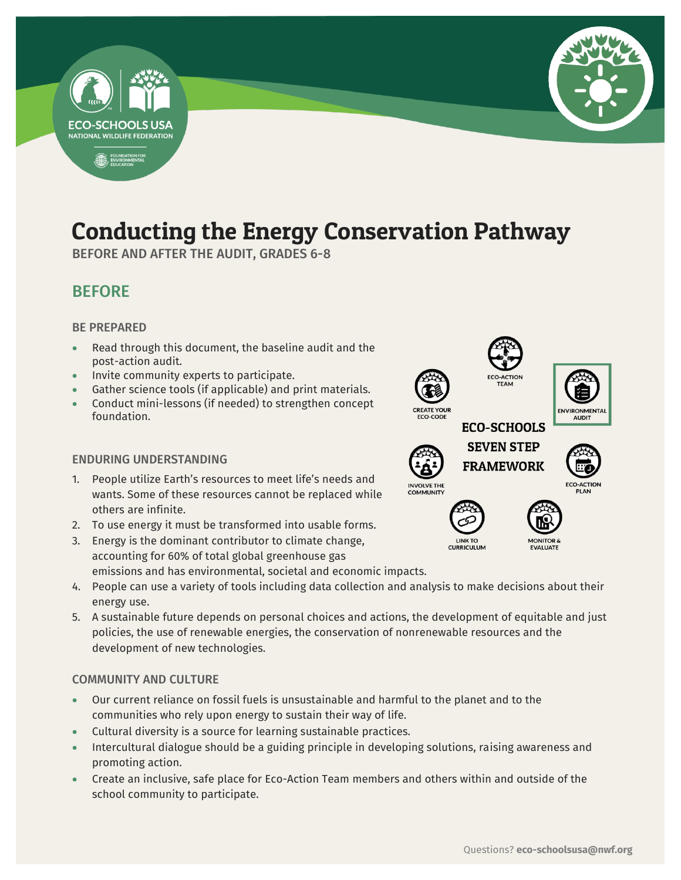

# Conducting the Energy Conservation Pathway

-

BEFORE AND AFTER THE AUDIT, GRADES 6-8

## BEFORE

#### BE PREPARED

- Read through this document, the baseline audit and the post-action audit.
- Invite community experts to participate.
- Gather science tools (if applicable) and print materials.
- Conduct mini-lessons (if needed) to strengthen concept foundation.

#### ENDURING UNDERSTANDING

- 1. People utilize Earth's resources to meet life's needs and wants. Some of these resources cannot be replaced while others are infinite.
- 2. To use energy it must be transformed into usable forms.
- 3. Energy is the dominant contributor to climate change, accounting for 60% of total global greenhouse gas emissions and has environmental, societal and economic impacts.
- 4. People can use a variety of tools including data collection and analysis to make decisions about their energy use.
- 5. A sustainable future depends on personal choices and actions, the development of equitable and just policies, the use of renewable energies, the conservation of nonrenewable resources and the development of new technologies.

#### COMMUNITY AND CULTURE

- Our current reliance on fossil fuels is unsustainable and harmful to the planet and to the communities who rely upon energy to sustain their way of life.
- Cultural diversity is a source for learning sustainable practices.
- Intercultural dialogue should be a guiding principle in developing solutions, raising awareness and promoting action.
- Create an inclusive, safe place for Eco-Action Team members and others within and outside of the school community to participate.







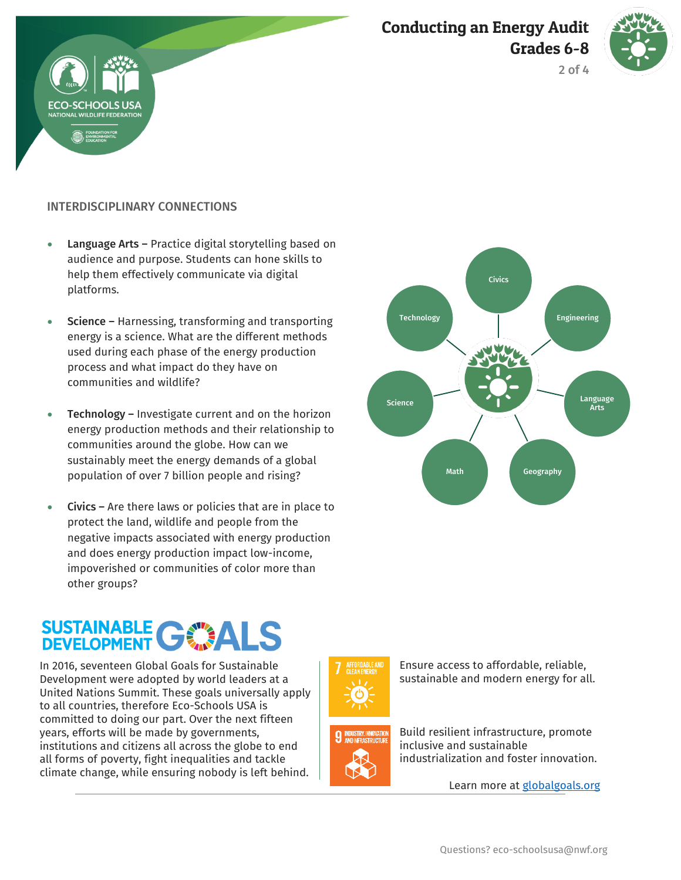



2 of 4



- Language Arts Practice digital storytelling based on audience and purpose. Students can hone skills to help them effectively communicate via digital platforms.
- Science Harnessing, transforming and transporting energy is a science. What are the different methods used during each phase of the energy production process and what impact do they have on communities and wildlife?
- Technology Investigate current and on the horizon energy production methods and their relationship to communities around the globe. How can we sustainably meet the energy demands of a global population of over 7 billion people and rising?
- Civics Are there laws or policies that are in place to protect the land, wildlife and people from the negative impacts associated with energy production and does energy production impact low-income, impoverished or communities of color more than other groups?

# **SUSTAINABLE GWALS**

In 2016, seventeen Global Goals for Sustainable Development were adopted by world leaders at a United Nations Summit. These goals universally apply to all countries, therefore Eco-Schools USA is committed to doing our part. Over the next fifteen years, efforts will be made by governments, institutions and citizens all across the globe to end all forms of poverty, fight inequalities and tackle climate change, while ensuring nobody is left behind.





sustainable and modern energy for all.

Ensure access to affordable, reliable,

Build resilient infrastructure, promote inclusive and sustainable industrialization and foster innovation.

Learn more at [globalgoals.org](https://www.globalgoals.org/)

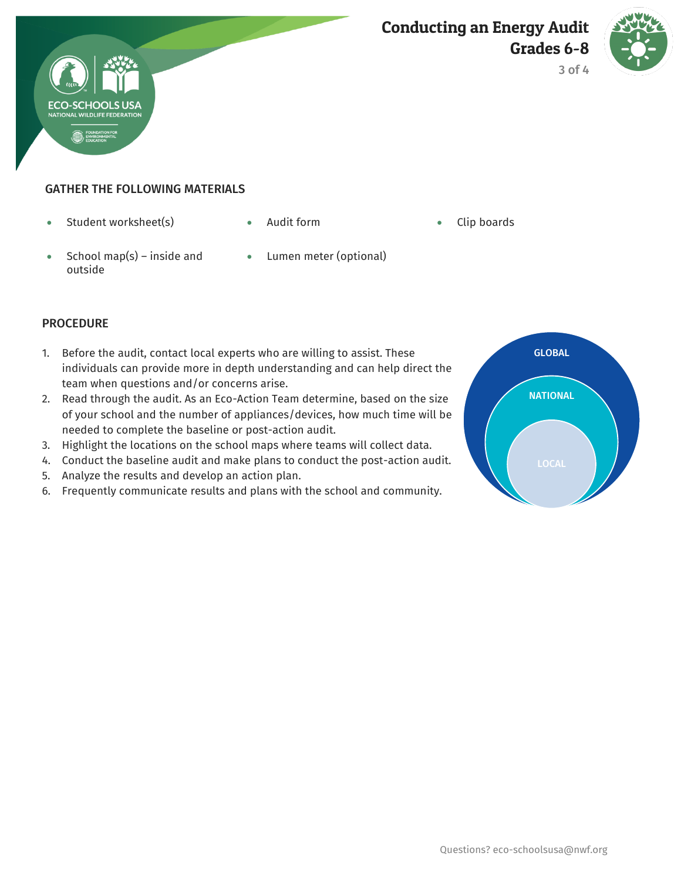



3 of 4

#### GATHER THE FOLLOWING MATERIALS

- Student worksheet(s) Audit form Clip boards
	-

- School map(s) inside and outside
- Lumen meter (optional)

#### **PROCEDURE**

- 1. Before the audit, contact local experts who are willing to assist. These individuals can provide more in depth understanding and can help direct the team when questions and/or concerns arise.
- 2. Read through the audit. As an Eco-Action Team determine, based on the size of your school and the number of appliances/devices, how much time will be needed to complete the baseline or post-action audit.
- 3. Highlight the locations on the school maps where teams will collect data.
- 4. Conduct the baseline audit and make plans to conduct the post-action audit.
- 5. Analyze the results and develop an action plan.
- 6. Frequently communicate results and plans with the school and community.